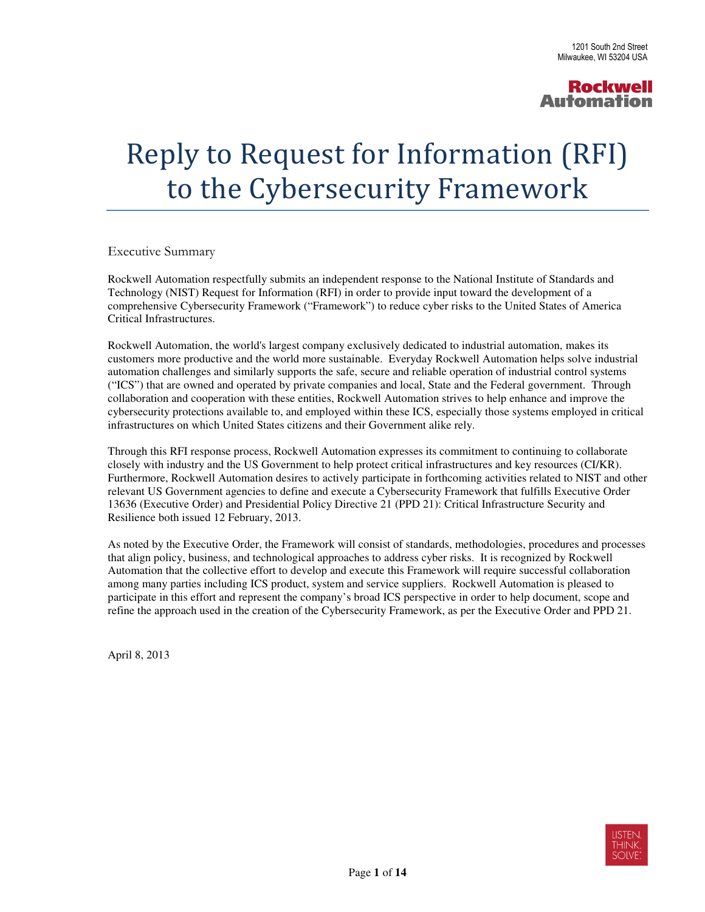#### Reply to Request for Information (RFI) to the Cybersecurity Framework

Executive Summary

 Rockwell Automation respectfully submits an independent response to the National Institute of Standards and Technology (NIST) Request for Information (RFI) in order to provide input toward the development of a comprehensive Cybersecurity Framework ("Framework") to reduce cyber risks to the United States of America Critical Infrastructures.

 Rockwell Automation, the world's largest company exclusively dedicated to industrial automation, makes its customers more productive and the world more sustainable. Everyday Rockwell Automation helps solve industrial automation challenges and similarly supports the safe, secure and reliable operation of industrial control systems ("ICS") that are owned and operated by private companies and local, State and the Federal government. Through collaboration and cooperation with these entities, Rockwell Automation strives to help enhance and improve the cybersecurity protections available to, and employed within these ICS, especially those systems employed in critical infrastructures on which United States citizens and their Government alike rely.

 Through this RFI response process, Rockwell Automation expresses its commitment to continuing to collaborate closely with industry and the US Government to help protect critical infrastructures and key resources (CI/KR). Furthermore, Rockwell Automation desires to actively participate in forthcoming activities related to NIST and other relevant US Government agencies to define and execute a Cybersecurity Framework that fulfills Executive Order 13636 (Executive Order) and Presidential Policy Directive 21 (PPD 21): Critical Infrastructure Security and Resilience both issued 12 February, 2013.

 As noted by the Executive Order, the Framework will consist of standards, methodologies, procedures and processes that align policy, business, and technological approaches to address cyber risks. It is recognized by Rockwell Automation that the collective effort to develop and execute this Framework will require successful collaboration among many parties including ICS product, system and service suppliers. Rockwell Automation is pleased to participate in this effort and represent the company's broad ICS perspective in order to help document, scope and refine the approach used in the creation of the Cybersecurity Framework, as per the Executive Order and PPD 21.

April 8, 2013

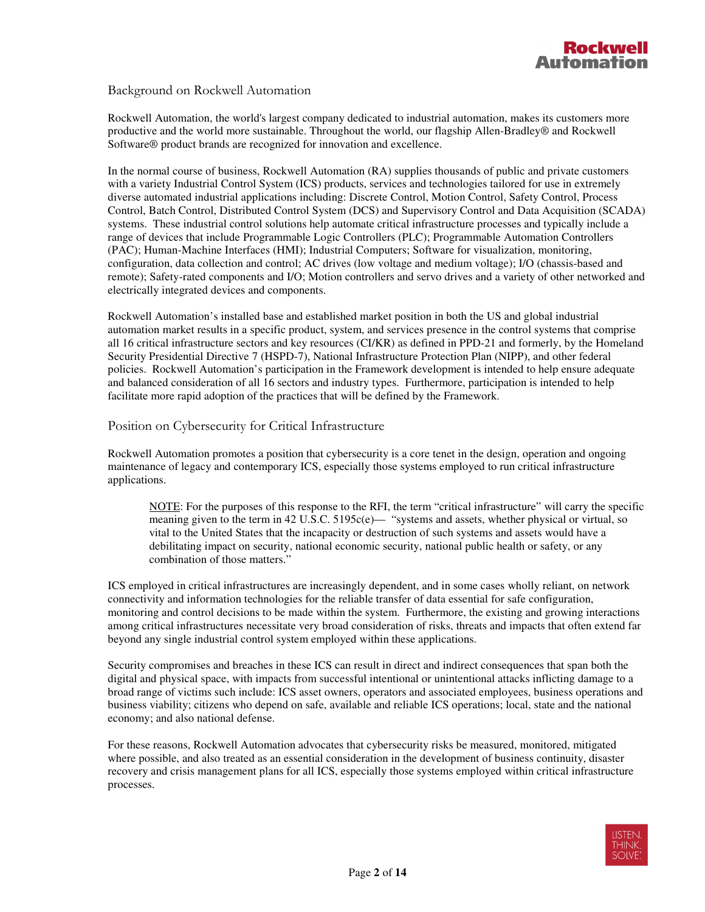#### Background on Rockwell Automation

 Rockwell Automation, the world's largest company dedicated to industrial automation, makes its customers more productive and the world more sustainable. Throughout the world, our flagship Allen-Bradley® and Rockwell Software® product brands are recognized for innovation and excellence.

 In the normal course of business, Rockwell Automation (RA) supplies thousands of public and private customers with a variety Industrial Control System (ICS) products, services and technologies tailored for use in extremely diverse automated industrial applications including: Discrete Control, Motion Control, Safety Control, Process Control, Batch Control, Distributed Control System (DCS) and Supervisory Control and Data Acquisition (SCADA) systems. These industrial control solutions help automate critical infrastructure processes and typically include a range of devices that include Programmable Logic Controllers (PLC); Programmable Automation Controllers (PAC); Human-Machine Interfaces (HMI); Industrial Computers; Software for visualization, monitoring, configuration, data collection and control; AC drives (low voltage and medium voltage); I/O (chassis-based and remote); Safety-rated components and I/O; Motion controllers and servo drives and a variety of other networked and electrically integrated devices and components.

 Rockwell Automation's installed base and established market position in both the US and global industrial automation market results in a specific product, system, and services presence in the control systems that comprise all 16 critical infrastructure sectors and key resources (CI/KR) as defined in PPD-21 and formerly, by the Homeland Security Presidential Directive 7 (HSPD-7), National Infrastructure Protection Plan (NIPP), and other federal policies. Rockwell Automation's participation in the Framework development is intended to help ensure adequate and balanced consideration of all 16 sectors and industry types. Furthermore, participation is intended to help facilitate more rapid adoption of the practices that will be defined by the Framework.

Position on Cybersecurity for Critical Infrastructure

 Rockwell Automation promotes a position that cybersecurity is a core tenet in the design, operation and ongoing maintenance of legacy and contemporary ICS, especially those systems employed to run critical infrastructure applications.

 NOTE: For the purposes of this response to the RFI, the term "critical infrastructure" will carry the specific meaning given to the term in 42 U.S.C. 5195c(e)— "systems and assets, whether physical or virtual, so vital to the United States that the incapacity or destruction of such systems and assets would have a debilitating impact on security, national economic security, national public health or safety, or any combination of those matters."

 ICS employed in critical infrastructures are increasingly dependent, and in some cases wholly reliant, on network connectivity and information technologies for the reliable transfer of data essential for safe configuration, monitoring and control decisions to be made within the system. Furthermore, the existing and growing interactions among critical infrastructures necessitate very broad consideration of risks, threats and impacts that often extend far beyond any single industrial control system employed within these applications.

 Security compromises and breaches in these ICS can result in direct and indirect consequences that span both the digital and physical space, with impacts from successful intentional or unintentional attacks inflicting damage to a broad range of victims such include: ICS asset owners, operators and associated employees, business operations and business viability; citizens who depend on safe, available and reliable ICS operations; local, state and the national economy; and also national defense.

 For these reasons, Rockwell Automation advocates that cybersecurity risks be measured, monitored, mitigated where possible, and also treated as an essential consideration in the development of business continuity, disaster recovery and crisis management plans for all ICS, especially those systems employed within critical infrastructure processes.

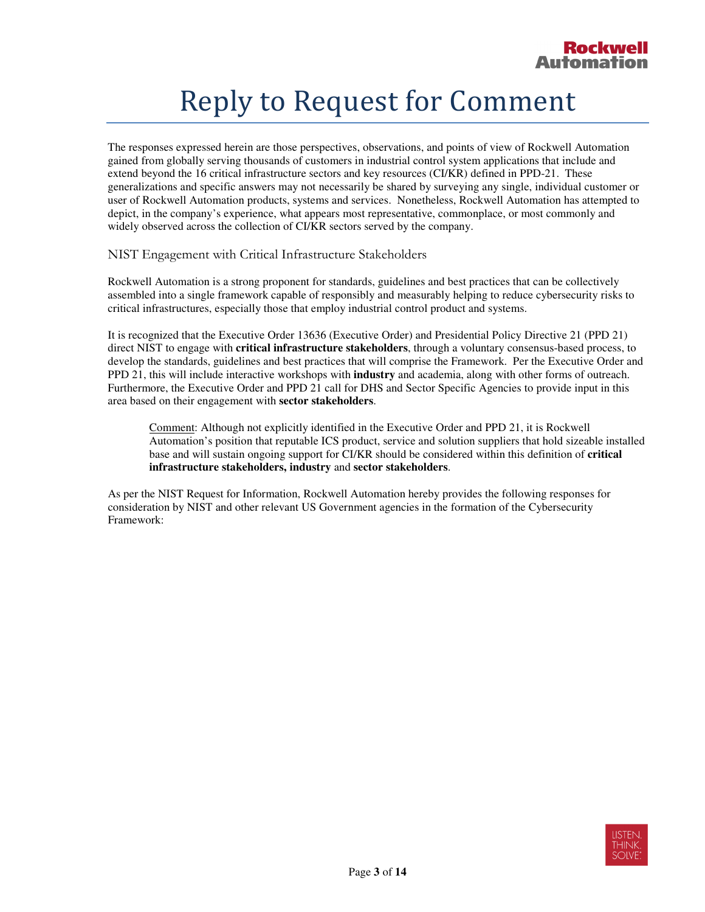#### Reply to Request for Comment

 The responses expressed herein are those perspectives, observations, and points of view of Rockwell Automation gained from globally serving thousands of customers in industrial control system applications that include and extend beyond the 16 critical infrastructure sectors and key resources (CI/KR) defined in PPD-21. These generalizations and specific answers may not necessarily be shared by surveying any single, individual customer or user of Rockwell Automation products, systems and services. Nonetheless, Rockwell Automation has attempted to depict, in the company's experience, what appears most representative, commonplace, or most commonly and widely observed across the collection of CI/KR sectors served by the company.

NIST Engagement with Critical Infrastructure Stakeholders

 Rockwell Automation is a strong proponent for standards, guidelines and best practices that can be collectively assembled into a single framework capable of responsibly and measurably helping to reduce cybersecurity risks to critical infrastructures, especially those that employ industrial control product and systems.

 It is recognized that the Executive Order 13636 (Executive Order) and Presidential Policy Directive 21 (PPD 21) direct NIST to engage with **critical infrastructure stakeholders**, through a voluntary consensus-based process, to develop the standards, guidelines and best practices that will comprise the Framework. Per the Executive Order and PPD 21, this will include interactive workshops with **industry** and academia, along with other forms of outreach. Furthermore, the Executive Order and PPD 21 call for DHS and Sector Specific Agencies to provide input in this area based on their engagement with **sector stakeholders**.

Comment: Although not explicitly identified in the Executive Order and PPD 21, it is Rockwell Automation's position that reputable ICS product, service and solution suppliers that hold sizeable installed base and will sustain ongoing support for CI/KR should be considered within this definition of **critical infrastructure stakeholders, industry** and **sector stakeholders**.

 As per the NIST Request for Information, Rockwell Automation hereby provides the following responses for consideration by NIST and other relevant US Government agencies in the formation of the Cybersecurity Framework:

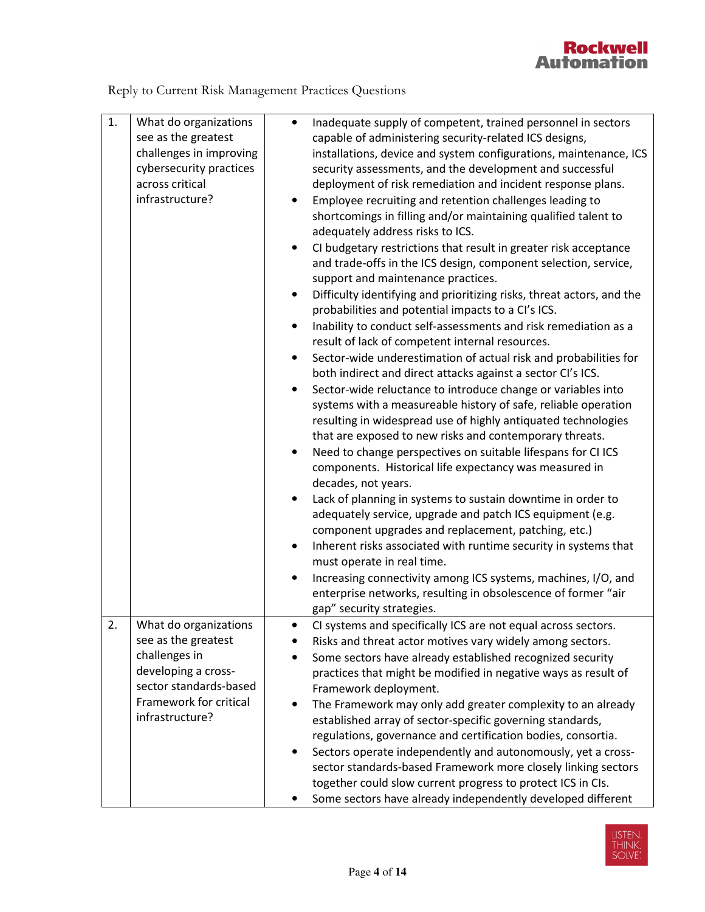

Reply to Current Risk Management Practices Questions

| 1. | What do organizations<br>see as the greatest<br>challenges in improving<br>cybersecurity practices<br>across critical<br>infrastructure?                    | Inadequate supply of competent, trained personnel in sectors<br>$\bullet$<br>capable of administering security-related ICS designs,<br>installations, device and system configurations, maintenance, ICS<br>security assessments, and the development and successful<br>deployment of risk remediation and incident response plans.<br>Employee recruiting and retention challenges leading to<br>$\bullet$<br>shortcomings in filling and/or maintaining qualified talent to<br>adequately address risks to ICS.<br>CI budgetary restrictions that result in greater risk acceptance<br>and trade-offs in the ICS design, component selection, service,<br>support and maintenance practices.<br>Difficulty identifying and prioritizing risks, threat actors, and the<br>$\bullet$<br>probabilities and potential impacts to a CI's ICS.<br>Inability to conduct self-assessments and risk remediation as a<br>$\bullet$<br>result of lack of competent internal resources.<br>Sector-wide underestimation of actual risk and probabilities for<br>$\bullet$<br>both indirect and direct attacks against a sector CI's ICS.<br>Sector-wide reluctance to introduce change or variables into<br>$\bullet$<br>systems with a measureable history of safe, reliable operation<br>resulting in widespread use of highly antiquated technologies<br>that are exposed to new risks and contemporary threats.<br>Need to change perspectives on suitable lifespans for CI ICS<br>$\bullet$<br>components. Historical life expectancy was measured in<br>decades, not years.<br>Lack of planning in systems to sustain downtime in order to<br>$\bullet$<br>adequately service, upgrade and patch ICS equipment (e.g.<br>component upgrades and replacement, patching, etc.)<br>Inherent risks associated with runtime security in systems that<br>$\bullet$<br>must operate in real time.<br>Increasing connectivity among ICS systems, machines, I/O, and<br>$\bullet$<br>enterprise networks, resulting in obsolescence of former "air<br>gap" security strategies. |
|----|-------------------------------------------------------------------------------------------------------------------------------------------------------------|------------------------------------------------------------------------------------------------------------------------------------------------------------------------------------------------------------------------------------------------------------------------------------------------------------------------------------------------------------------------------------------------------------------------------------------------------------------------------------------------------------------------------------------------------------------------------------------------------------------------------------------------------------------------------------------------------------------------------------------------------------------------------------------------------------------------------------------------------------------------------------------------------------------------------------------------------------------------------------------------------------------------------------------------------------------------------------------------------------------------------------------------------------------------------------------------------------------------------------------------------------------------------------------------------------------------------------------------------------------------------------------------------------------------------------------------------------------------------------------------------------------------------------------------------------------------------------------------------------------------------------------------------------------------------------------------------------------------------------------------------------------------------------------------------------------------------------------------------------------------------------------------------------------------------------------------------------------------------------------------------------------------------------------------------------------|
| 2. | What do organizations<br>see as the greatest<br>challenges in<br>developing a cross-<br>sector standards-based<br>Framework for critical<br>infrastructure? | CI systems and specifically ICS are not equal across sectors.<br>Risks and threat actor motives vary widely among sectors.<br>Some sectors have already established recognized security<br>$\bullet$<br>practices that might be modified in negative ways as result of<br>Framework deployment.<br>The Framework may only add greater complexity to an already<br>$\bullet$<br>established array of sector-specific governing standards,<br>regulations, governance and certification bodies, consortia.<br>Sectors operate independently and autonomously, yet a cross-<br>$\bullet$<br>sector standards-based Framework more closely linking sectors<br>together could slow current progress to protect ICS in CIs.<br>Some sectors have already independently developed different<br>٠                                                                                                                                                                                                                                                                                                                                                                                                                                                                                                                                                                                                                                                                                                                                                                                                                                                                                                                                                                                                                                                                                                                                                                                                                                                                        |

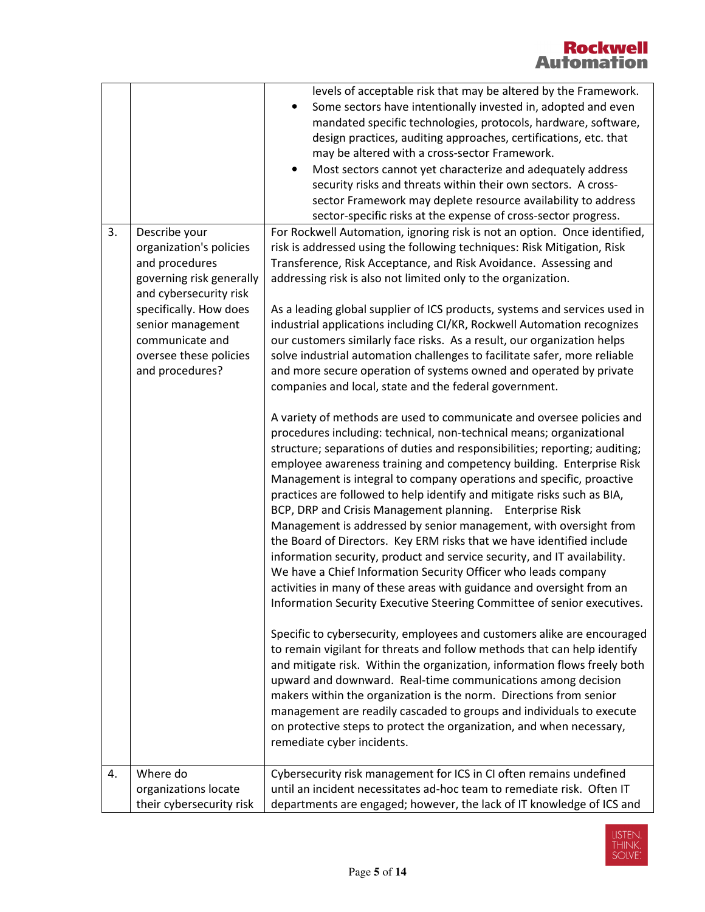| 3. | Describe your<br>organization's policies<br>and procedures<br>governing risk generally<br>and cybersecurity risk<br>specifically. How does<br>senior management<br>communicate and<br>oversee these policies<br>and procedures? | levels of acceptable risk that may be altered by the Framework.<br>Some sectors have intentionally invested in, adopted and even<br>$\bullet$<br>mandated specific technologies, protocols, hardware, software,<br>design practices, auditing approaches, certifications, etc. that<br>may be altered with a cross-sector Framework.<br>Most sectors cannot yet characterize and adequately address<br>$\bullet$<br>security risks and threats within their own sectors. A cross-<br>sector Framework may deplete resource availability to address<br>sector-specific risks at the expense of cross-sector progress.<br>For Rockwell Automation, ignoring risk is not an option. Once identified,<br>risk is addressed using the following techniques: Risk Mitigation, Risk<br>Transference, Risk Acceptance, and Risk Avoidance. Assessing and<br>addressing risk is also not limited only to the organization.<br>As a leading global supplier of ICS products, systems and services used in<br>industrial applications including CI/KR, Rockwell Automation recognizes<br>our customers similarly face risks. As a result, our organization helps<br>solve industrial automation challenges to facilitate safer, more reliable<br>and more secure operation of systems owned and operated by private<br>companies and local, state and the federal government.<br>A variety of methods are used to communicate and oversee policies and<br>procedures including: technical, non-technical means; organizational<br>structure; separations of duties and responsibilities; reporting; auditing;<br>employee awareness training and competency building. Enterprise Risk<br>Management is integral to company operations and specific, proactive<br>practices are followed to help identify and mitigate risks such as BIA,<br>BCP, DRP and Crisis Management planning. Enterprise Risk<br>Management is addressed by senior management, with oversight from<br>the Board of Directors. Key ERM risks that we have identified include<br>information security, product and service security, and IT availability.<br>We have a Chief Information Security Officer who leads company |
|----|---------------------------------------------------------------------------------------------------------------------------------------------------------------------------------------------------------------------------------|---------------------------------------------------------------------------------------------------------------------------------------------------------------------------------------------------------------------------------------------------------------------------------------------------------------------------------------------------------------------------------------------------------------------------------------------------------------------------------------------------------------------------------------------------------------------------------------------------------------------------------------------------------------------------------------------------------------------------------------------------------------------------------------------------------------------------------------------------------------------------------------------------------------------------------------------------------------------------------------------------------------------------------------------------------------------------------------------------------------------------------------------------------------------------------------------------------------------------------------------------------------------------------------------------------------------------------------------------------------------------------------------------------------------------------------------------------------------------------------------------------------------------------------------------------------------------------------------------------------------------------------------------------------------------------------------------------------------------------------------------------------------------------------------------------------------------------------------------------------------------------------------------------------------------------------------------------------------------------------------------------------------------------------------------------------------------------------------------------------------------------------------------------------------------------------|
|    |                                                                                                                                                                                                                                 | activities in many of these areas with guidance and oversight from an<br>Information Security Executive Steering Committee of senior executives.                                                                                                                                                                                                                                                                                                                                                                                                                                                                                                                                                                                                                                                                                                                                                                                                                                                                                                                                                                                                                                                                                                                                                                                                                                                                                                                                                                                                                                                                                                                                                                                                                                                                                                                                                                                                                                                                                                                                                                                                                                      |
|    |                                                                                                                                                                                                                                 | Specific to cybersecurity, employees and customers alike are encouraged<br>to remain vigilant for threats and follow methods that can help identify<br>and mitigate risk. Within the organization, information flows freely both<br>upward and downward. Real-time communications among decision<br>makers within the organization is the norm. Directions from senior<br>management are readily cascaded to groups and individuals to execute<br>on protective steps to protect the organization, and when necessary,<br>remediate cyber incidents.                                                                                                                                                                                                                                                                                                                                                                                                                                                                                                                                                                                                                                                                                                                                                                                                                                                                                                                                                                                                                                                                                                                                                                                                                                                                                                                                                                                                                                                                                                                                                                                                                                  |
| 4. | Where do                                                                                                                                                                                                                        | Cybersecurity risk management for ICS in CI often remains undefined                                                                                                                                                                                                                                                                                                                                                                                                                                                                                                                                                                                                                                                                                                                                                                                                                                                                                                                                                                                                                                                                                                                                                                                                                                                                                                                                                                                                                                                                                                                                                                                                                                                                                                                                                                                                                                                                                                                                                                                                                                                                                                                   |
|    | organizations locate                                                                                                                                                                                                            | until an incident necessitates ad-hoc team to remediate risk. Often IT                                                                                                                                                                                                                                                                                                                                                                                                                                                                                                                                                                                                                                                                                                                                                                                                                                                                                                                                                                                                                                                                                                                                                                                                                                                                                                                                                                                                                                                                                                                                                                                                                                                                                                                                                                                                                                                                                                                                                                                                                                                                                                                |
|    | their cybersecurity risk                                                                                                                                                                                                        | departments are engaged; however, the lack of IT knowledge of ICS and                                                                                                                                                                                                                                                                                                                                                                                                                                                                                                                                                                                                                                                                                                                                                                                                                                                                                                                                                                                                                                                                                                                                                                                                                                                                                                                                                                                                                                                                                                                                                                                                                                                                                                                                                                                                                                                                                                                                                                                                                                                                                                                 |

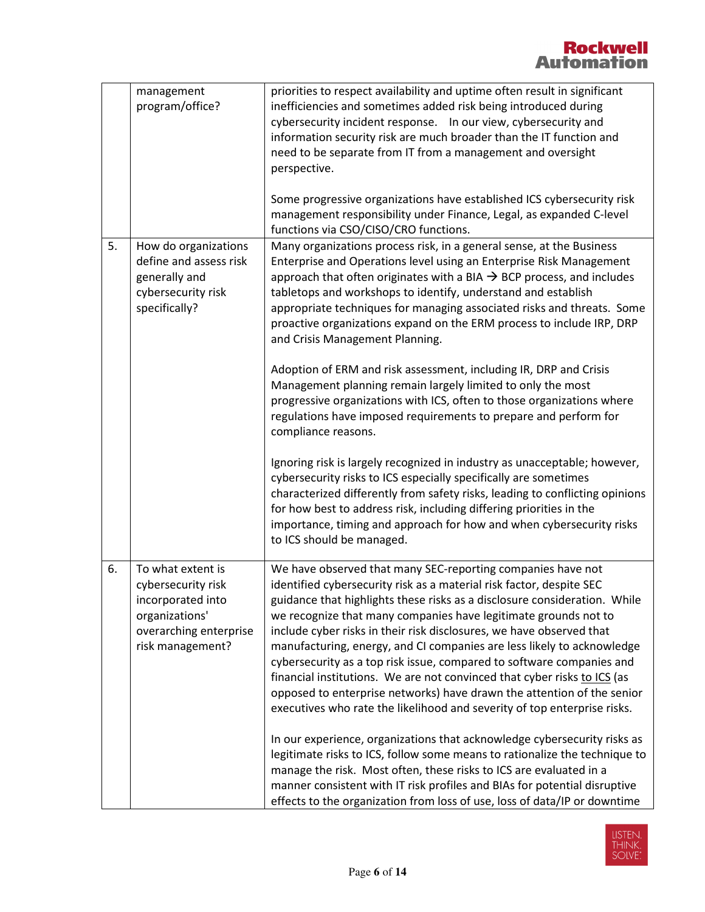|    | management<br>program/office?                                                                                                | priorities to respect availability and uptime often result in significant<br>inefficiencies and sometimes added risk being introduced during<br>cybersecurity incident response.  In our view, cybersecurity and<br>information security risk are much broader than the IT function and<br>need to be separate from IT from a management and oversight<br>perspective.                                                                                                                                                                                                                                                                                                                                                                           |
|----|------------------------------------------------------------------------------------------------------------------------------|--------------------------------------------------------------------------------------------------------------------------------------------------------------------------------------------------------------------------------------------------------------------------------------------------------------------------------------------------------------------------------------------------------------------------------------------------------------------------------------------------------------------------------------------------------------------------------------------------------------------------------------------------------------------------------------------------------------------------------------------------|
|    |                                                                                                                              | Some progressive organizations have established ICS cybersecurity risk<br>management responsibility under Finance, Legal, as expanded C-level<br>functions via CSO/CISO/CRO functions.                                                                                                                                                                                                                                                                                                                                                                                                                                                                                                                                                           |
| 5. | How do organizations<br>define and assess risk<br>generally and<br>cybersecurity risk<br>specifically?                       | Many organizations process risk, in a general sense, at the Business<br>Enterprise and Operations level using an Enterprise Risk Management<br>approach that often originates with a BIA $\rightarrow$ BCP process, and includes<br>tabletops and workshops to identify, understand and establish<br>appropriate techniques for managing associated risks and threats. Some<br>proactive organizations expand on the ERM process to include IRP, DRP<br>and Crisis Management Planning.                                                                                                                                                                                                                                                          |
|    |                                                                                                                              | Adoption of ERM and risk assessment, including IR, DRP and Crisis<br>Management planning remain largely limited to only the most<br>progressive organizations with ICS, often to those organizations where<br>regulations have imposed requirements to prepare and perform for<br>compliance reasons.                                                                                                                                                                                                                                                                                                                                                                                                                                            |
|    |                                                                                                                              | Ignoring risk is largely recognized in industry as unacceptable; however,<br>cybersecurity risks to ICS especially specifically are sometimes<br>characterized differently from safety risks, leading to conflicting opinions<br>for how best to address risk, including differing priorities in the<br>importance, timing and approach for how and when cybersecurity risks<br>to ICS should be managed.                                                                                                                                                                                                                                                                                                                                        |
| 6. | To what extent is<br>cybersecurity risk<br>incorporated into<br>organizations'<br>overarching enterprise<br>risk management? | We have observed that many SEC-reporting companies have not<br>identified cybersecurity risk as a material risk factor, despite SEC<br>guidance that highlights these risks as a disclosure consideration. While<br>we recognize that many companies have legitimate grounds not to<br>include cyber risks in their risk disclosures, we have observed that<br>manufacturing, energy, and CI companies are less likely to acknowledge<br>cybersecurity as a top risk issue, compared to software companies and<br>financial institutions. We are not convinced that cyber risks to ICS (as<br>opposed to enterprise networks) have drawn the attention of the senior<br>executives who rate the likelihood and severity of top enterprise risks. |
|    |                                                                                                                              | In our experience, organizations that acknowledge cybersecurity risks as<br>legitimate risks to ICS, follow some means to rationalize the technique to<br>manage the risk. Most often, these risks to ICS are evaluated in a<br>manner consistent with IT risk profiles and BIAs for potential disruptive<br>effects to the organization from loss of use, loss of data/IP or downtime                                                                                                                                                                                                                                                                                                                                                           |

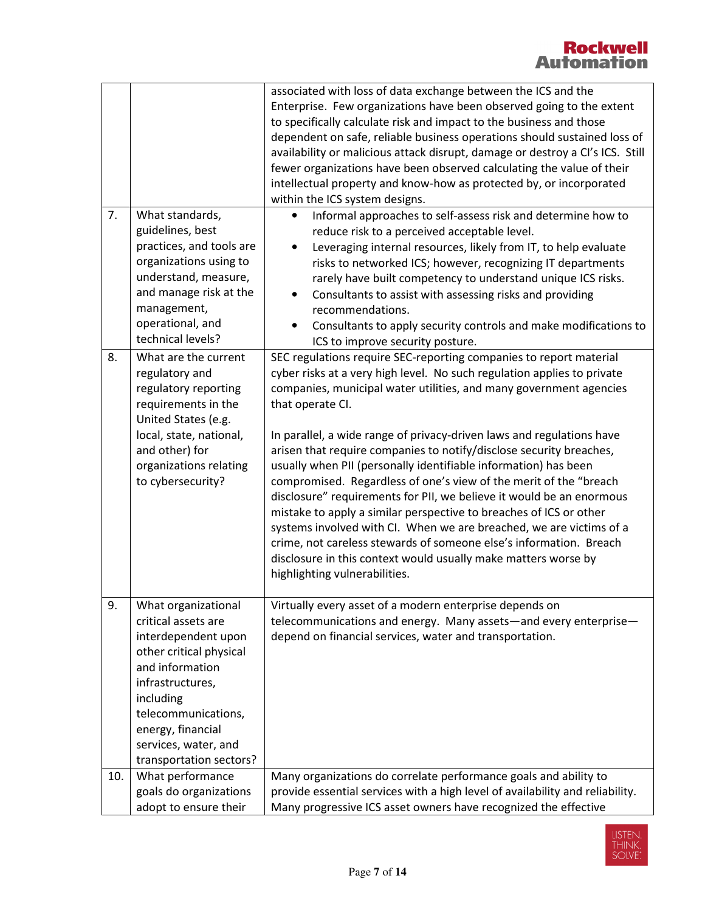|     |                                                                                                                                                                                                                                                 | associated with loss of data exchange between the ICS and the<br>Enterprise. Few organizations have been observed going to the extent<br>to specifically calculate risk and impact to the business and those<br>dependent on safe, reliable business operations should sustained loss of<br>availability or malicious attack disrupt, damage or destroy a CI's ICS. Still<br>fewer organizations have been observed calculating the value of their<br>intellectual property and know-how as protected by, or incorporated<br>within the ICS system designs.                                                                                                                                                                                                                                                                                                                                                                   |
|-----|-------------------------------------------------------------------------------------------------------------------------------------------------------------------------------------------------------------------------------------------------|-------------------------------------------------------------------------------------------------------------------------------------------------------------------------------------------------------------------------------------------------------------------------------------------------------------------------------------------------------------------------------------------------------------------------------------------------------------------------------------------------------------------------------------------------------------------------------------------------------------------------------------------------------------------------------------------------------------------------------------------------------------------------------------------------------------------------------------------------------------------------------------------------------------------------------|
| 7.  | What standards,<br>guidelines, best<br>practices, and tools are<br>organizations using to<br>understand, measure,<br>and manage risk at the<br>management,<br>operational, and<br>technical levels?                                             | Informal approaches to self-assess risk and determine how to<br>$\bullet$<br>reduce risk to a perceived acceptable level.<br>Leveraging internal resources, likely from IT, to help evaluate<br>$\bullet$<br>risks to networked ICS; however, recognizing IT departments<br>rarely have built competency to understand unique ICS risks.<br>Consultants to assist with assessing risks and providing<br>$\bullet$<br>recommendations.<br>Consultants to apply security controls and make modifications to<br>ICS to improve security posture.                                                                                                                                                                                                                                                                                                                                                                                 |
| 8.  | What are the current<br>regulatory and<br>regulatory reporting<br>requirements in the<br>United States (e.g.<br>local, state, national,<br>and other) for<br>organizations relating<br>to cybersecurity?                                        | SEC regulations require SEC-reporting companies to report material<br>cyber risks at a very high level. No such regulation applies to private<br>companies, municipal water utilities, and many government agencies<br>that operate CI.<br>In parallel, a wide range of privacy-driven laws and regulations have<br>arisen that require companies to notify/disclose security breaches,<br>usually when PII (personally identifiable information) has been<br>compromised. Regardless of one's view of the merit of the "breach<br>disclosure" requirements for PII, we believe it would be an enormous<br>mistake to apply a similar perspective to breaches of ICS or other<br>systems involved with CI. When we are breached, we are victims of a<br>crime, not careless stewards of someone else's information. Breach<br>disclosure in this context would usually make matters worse by<br>highlighting vulnerabilities. |
| 9.  | What organizational<br>critical assets are<br>interdependent upon<br>other critical physical<br>and information<br>infrastructures,<br>including<br>telecommunications,<br>energy, financial<br>services, water, and<br>transportation sectors? | Virtually every asset of a modern enterprise depends on<br>telecommunications and energy. Many assets-and every enterprise-<br>depend on financial services, water and transportation.                                                                                                                                                                                                                                                                                                                                                                                                                                                                                                                                                                                                                                                                                                                                        |
| 10. | What performance<br>goals do organizations<br>adopt to ensure their                                                                                                                                                                             | Many organizations do correlate performance goals and ability to<br>provide essential services with a high level of availability and reliability.<br>Many progressive ICS asset owners have recognized the effective                                                                                                                                                                                                                                                                                                                                                                                                                                                                                                                                                                                                                                                                                                          |

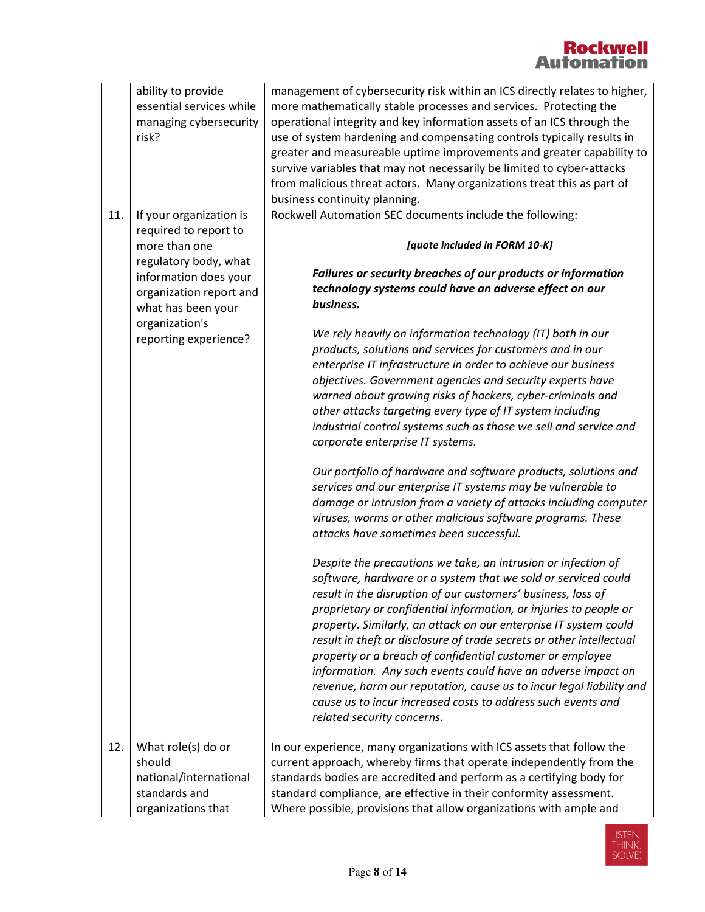|     | ability to provide<br>essential services while<br>managing cybersecurity<br>risk?             | management of cybersecurity risk within an ICS directly relates to higher,<br>more mathematically stable processes and services. Protecting the<br>operational integrity and key information assets of an ICS through the<br>use of system hardening and compensating controls typically results in<br>greater and measureable uptime improvements and greater capability to<br>survive variables that may not necessarily be limited to cyber-attacks<br>from malicious threat actors. Many organizations treat this as part of<br>business continuity planning.                                                                                                                                                 |  |
|-----|-----------------------------------------------------------------------------------------------|-------------------------------------------------------------------------------------------------------------------------------------------------------------------------------------------------------------------------------------------------------------------------------------------------------------------------------------------------------------------------------------------------------------------------------------------------------------------------------------------------------------------------------------------------------------------------------------------------------------------------------------------------------------------------------------------------------------------|--|
| 11. | If your organization is<br>required to report to                                              | Rockwell Automation SEC documents include the following:                                                                                                                                                                                                                                                                                                                                                                                                                                                                                                                                                                                                                                                          |  |
|     | more than one<br>regulatory body, what                                                        | [quote included in FORM 10-K]                                                                                                                                                                                                                                                                                                                                                                                                                                                                                                                                                                                                                                                                                     |  |
|     | information does your<br>organization report and<br>what has been your<br>organization's      | Failures or security breaches of our products or information<br>technology systems could have an adverse effect on our<br>business.                                                                                                                                                                                                                                                                                                                                                                                                                                                                                                                                                                               |  |
|     | reporting experience?                                                                         | We rely heavily on information technology (IT) both in our<br>products, solutions and services for customers and in our<br>enterprise IT infrastructure in order to achieve our business<br>objectives. Government agencies and security experts have<br>warned about growing risks of hackers, cyber-criminals and<br>other attacks targeting every type of IT system including<br>industrial control systems such as those we sell and service and<br>corporate enterprise IT systems.                                                                                                                                                                                                                          |  |
|     |                                                                                               | Our portfolio of hardware and software products, solutions and<br>services and our enterprise IT systems may be vulnerable to<br>damage or intrusion from a variety of attacks including computer<br>viruses, worms or other malicious software programs. These<br>attacks have sometimes been successful.                                                                                                                                                                                                                                                                                                                                                                                                        |  |
|     |                                                                                               | Despite the precautions we take, an intrusion or infection of<br>software, hardware or a system that we sold or serviced could<br>result in the disruption of our customers' business, loss of<br>proprietary or confidential information, or injuries to people or<br>property. Similarly, an attack on our enterprise IT system could<br>result in theft or disclosure of trade secrets or other intellectual<br>property or a breach of confidential customer or employee<br>information. Any such events could have an adverse impact on<br>revenue, harm our reputation, cause us to incur legal liability and<br>cause us to incur increased costs to address such events and<br>related security concerns. |  |
| 12. | What role(s) do or<br>should<br>national/international<br>standards and<br>organizations that | In our experience, many organizations with ICS assets that follow the<br>current approach, whereby firms that operate independently from the<br>standards bodies are accredited and perform as a certifying body for<br>standard compliance, are effective in their conformity assessment.<br>Where possible, provisions that allow organizations with ample and                                                                                                                                                                                                                                                                                                                                                  |  |

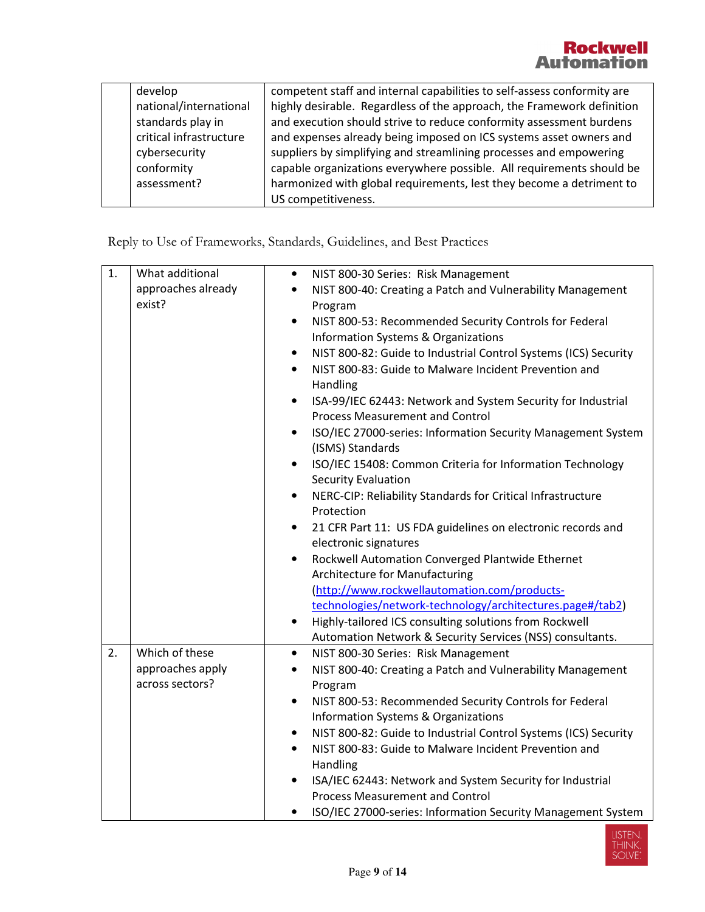| develop                 | competent staff and internal capabilities to self-assess conformity are |
|-------------------------|-------------------------------------------------------------------------|
| national/international  | highly desirable. Regardless of the approach, the Framework definition  |
| standards play in       | and execution should strive to reduce conformity assessment burdens     |
| critical infrastructure | and expenses already being imposed on ICS systems asset owners and      |
| cybersecurity           | suppliers by simplifying and streamlining processes and empowering      |
| conformity              | capable organizations everywhere possible. All requirements should be   |
| assessment?             | harmonized with global requirements, lest they become a detriment to    |
|                         | US competitiveness.                                                     |

Reply to Use of Frameworks, Standards, Guidelines, and Best Practices

| 1. | What additional    | NIST 800-30 Series: Risk Management<br>$\bullet$                               |
|----|--------------------|--------------------------------------------------------------------------------|
|    | approaches already | NIST 800-40: Creating a Patch and Vulnerability Management<br>$\bullet$        |
|    | exist?             | Program                                                                        |
|    |                    | NIST 800-53: Recommended Security Controls for Federal<br>$\bullet$            |
|    |                    | Information Systems & Organizations                                            |
|    |                    | NIST 800-82: Guide to Industrial Control Systems (ICS) Security<br>$\bullet$   |
|    |                    | NIST 800-83: Guide to Malware Incident Prevention and<br>$\bullet$<br>Handling |
|    |                    | ISA-99/IEC 62443: Network and System Security for Industrial<br>$\bullet$      |
|    |                    | <b>Process Measurement and Control</b>                                         |
|    |                    | ISO/IEC 27000-series: Information Security Management System<br>$\bullet$      |
|    |                    | (ISMS) Standards                                                               |
|    |                    | ISO/IEC 15408: Common Criteria for Information Technology<br>$\bullet$         |
|    |                    | <b>Security Evaluation</b>                                                     |
|    |                    | NERC-CIP: Reliability Standards for Critical Infrastructure<br>$\bullet$       |
|    |                    | Protection                                                                     |
|    |                    | 21 CFR Part 11: US FDA guidelines on electronic records and<br>$\bullet$       |
|    |                    | electronic signatures                                                          |
|    |                    | Rockwell Automation Converged Plantwide Ethernet<br>$\bullet$                  |
|    |                    | Architecture for Manufacturing                                                 |
|    |                    | (http://www.rockwellautomation.com/products-                                   |
|    |                    | technologies/network-technology/architectures.page#/tab2)                      |
|    |                    | Highly-tailored ICS consulting solutions from Rockwell<br>$\bullet$            |
|    |                    | Automation Network & Security Services (NSS) consultants.                      |
| 2. | Which of these     | NIST 800-30 Series: Risk Management<br>$\bullet$                               |
|    | approaches apply   | NIST 800-40: Creating a Patch and Vulnerability Management<br>$\bullet$        |
|    | across sectors?    | Program                                                                        |
|    |                    | NIST 800-53: Recommended Security Controls for Federal<br>$\bullet$            |
|    |                    | Information Systems & Organizations                                            |
|    |                    | NIST 800-82: Guide to Industrial Control Systems (ICS) Security<br>$\bullet$   |
|    |                    | NIST 800-83: Guide to Malware Incident Prevention and<br>$\bullet$             |
|    |                    | Handling                                                                       |
|    |                    | ISA/IEC 62443: Network and System Security for Industrial<br>$\bullet$         |
|    |                    | <b>Process Measurement and Control</b>                                         |
|    |                    | ISO/IEC 27000-series: Information Security Management System<br>$\bullet$      |

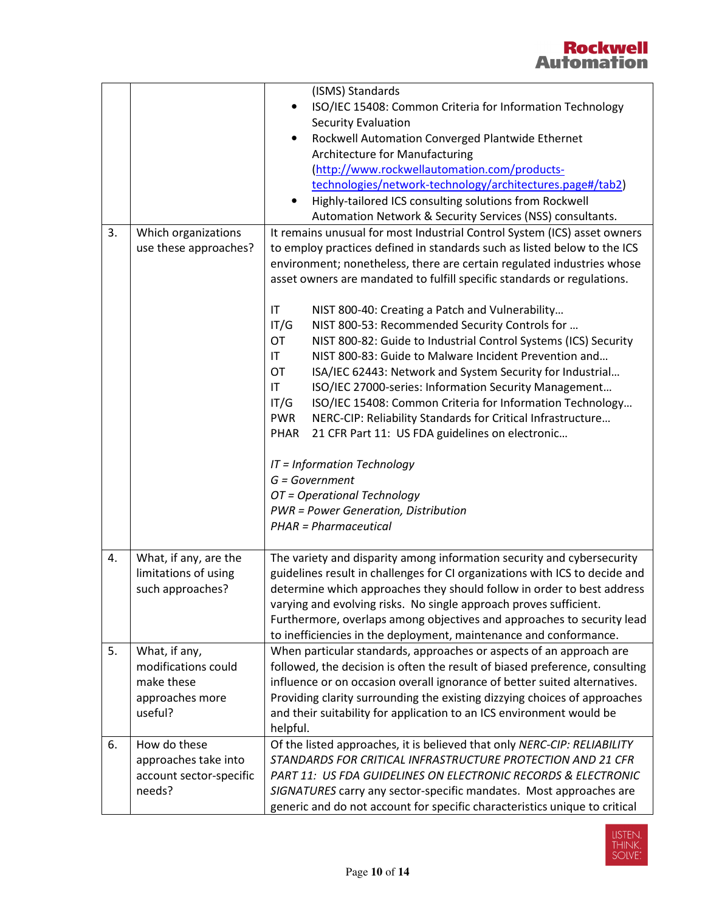|    |                                   | (ISMS) Standards                                                                                                                                       |
|----|-----------------------------------|--------------------------------------------------------------------------------------------------------------------------------------------------------|
|    |                                   | ISO/IEC 15408: Common Criteria for Information Technology                                                                                              |
|    |                                   | <b>Security Evaluation</b>                                                                                                                             |
|    |                                   | Rockwell Automation Converged Plantwide Ethernet                                                                                                       |
|    |                                   | Architecture for Manufacturing                                                                                                                         |
|    |                                   | (http://www.rockwellautomation.com/products-                                                                                                           |
|    |                                   | technologies/network-technology/architectures.page#/tab2)                                                                                              |
|    |                                   | Highly-tailored ICS consulting solutions from Rockwell<br>٠                                                                                            |
|    |                                   | Automation Network & Security Services (NSS) consultants.                                                                                              |
| 3. | Which organizations               | It remains unusual for most Industrial Control System (ICS) asset owners                                                                               |
|    | use these approaches?             | to employ practices defined in standards such as listed below to the ICS                                                                               |
|    |                                   | environment; nonetheless, there are certain regulated industries whose                                                                                 |
|    |                                   | asset owners are mandated to fulfill specific standards or regulations.                                                                                |
|    |                                   | IT<br>NIST 800-40: Creating a Patch and Vulnerability                                                                                                  |
|    |                                   | NIST 800-53: Recommended Security Controls for<br>IT/G                                                                                                 |
|    |                                   | <b>OT</b><br>NIST 800-82: Guide to Industrial Control Systems (ICS) Security                                                                           |
|    |                                   | NIST 800-83: Guide to Malware Incident Prevention and<br>IT.                                                                                           |
|    |                                   | OT<br>ISA/IEC 62443: Network and System Security for Industrial                                                                                        |
|    |                                   | $\mathsf{I}\mathsf{T}$<br>ISO/IEC 27000-series: Information Security Management                                                                        |
|    |                                   | ISO/IEC 15408: Common Criteria for Information Technology<br>IT/G                                                                                      |
|    |                                   | <b>PWR</b><br>NERC-CIP: Reliability Standards for Critical Infrastructure                                                                              |
|    |                                   | PHAR<br>21 CFR Part 11: US FDA guidelines on electronic                                                                                                |
|    |                                   | IT = Information Technology                                                                                                                            |
|    |                                   | $G = Government$                                                                                                                                       |
|    |                                   | OT = Operational Technology                                                                                                                            |
|    |                                   | <b>PWR = Power Generation, Distribution</b>                                                                                                            |
|    |                                   | <b>PHAR = Pharmaceutical</b>                                                                                                                           |
|    |                                   |                                                                                                                                                        |
| 4. | What, if any, are the             | The variety and disparity among information security and cybersecurity                                                                                 |
|    | limitations of using              | guidelines result in challenges for CI organizations with ICS to decide and                                                                            |
|    | such approaches?                  | determine which approaches they should follow in order to best address                                                                                 |
|    |                                   | varying and evolving risks. No single approach proves sufficient.                                                                                      |
|    |                                   | Furthermore, overlaps among objectives and approaches to security lead                                                                                 |
|    |                                   | to inefficiencies in the deployment, maintenance and conformance.                                                                                      |
| 5. | What, if any,                     | When particular standards, approaches or aspects of an approach are                                                                                    |
|    | modifications could<br>make these | followed, the decision is often the result of biased preference, consulting                                                                            |
|    | approaches more                   | influence or on occasion overall ignorance of better suited alternatives.<br>Providing clarity surrounding the existing dizzying choices of approaches |
|    | useful?                           | and their suitability for application to an ICS environment would be                                                                                   |
|    |                                   | helpful.                                                                                                                                               |
| 6. | How do these                      | Of the listed approaches, it is believed that only NERC-CIP: RELIABILITY                                                                               |
|    | approaches take into              | STANDARDS FOR CRITICAL INFRASTRUCTURE PROTECTION AND 21 CFR                                                                                            |
|    | account sector-specific           | PART 11: US FDA GUIDELINES ON ELECTRONIC RECORDS & ELECTRONIC                                                                                          |
|    |                                   |                                                                                                                                                        |
|    | needs?                            | SIGNATURES carry any sector-specific mandates. Most approaches are<br>generic and do not account for specific characteristics unique to critical       |

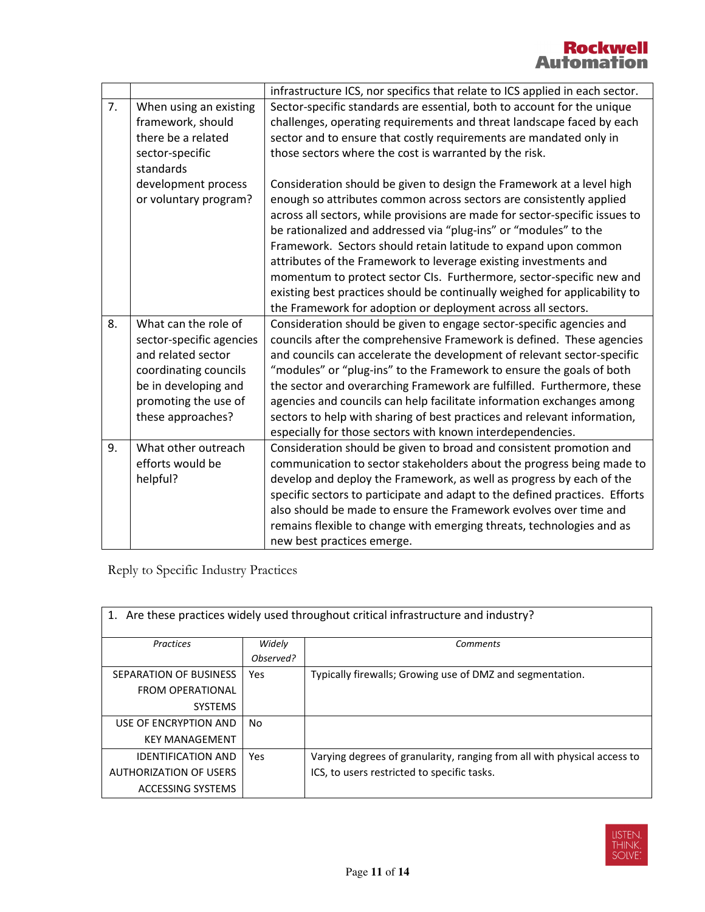|    |                          | infrastructure ICS, nor specifics that relate to ICS applied in each sector. |
|----|--------------------------|------------------------------------------------------------------------------|
| 7. | When using an existing   | Sector-specific standards are essential, both to account for the unique      |
|    | framework, should        | challenges, operating requirements and threat landscape faced by each        |
|    | there be a related       | sector and to ensure that costly requirements are mandated only in           |
|    | sector-specific          | those sectors where the cost is warranted by the risk.                       |
|    | standards                |                                                                              |
|    | development process      | Consideration should be given to design the Framework at a level high        |
|    | or voluntary program?    | enough so attributes common across sectors are consistently applied          |
|    |                          | across all sectors, while provisions are made for sector-specific issues to  |
|    |                          | be rationalized and addressed via "plug-ins" or "modules" to the             |
|    |                          | Framework. Sectors should retain latitude to expand upon common              |
|    |                          | attributes of the Framework to leverage existing investments and             |
|    |                          | momentum to protect sector CIs. Furthermore, sector-specific new and         |
|    |                          | existing best practices should be continually weighed for applicability to   |
|    |                          | the Framework for adoption or deployment across all sectors.                 |
| 8. | What can the role of     | Consideration should be given to engage sector-specific agencies and         |
|    | sector-specific agencies | councils after the comprehensive Framework is defined. These agencies        |
|    | and related sector       | and councils can accelerate the development of relevant sector-specific      |
|    | coordinating councils    | "modules" or "plug-ins" to the Framework to ensure the goals of both         |
|    | be in developing and     | the sector and overarching Framework are fulfilled. Furthermore, these       |
|    | promoting the use of     | agencies and councils can help facilitate information exchanges among        |
|    | these approaches?        | sectors to help with sharing of best practices and relevant information,     |
|    |                          | especially for those sectors with known interdependencies.                   |
| 9. | What other outreach      | Consideration should be given to broad and consistent promotion and          |
|    | efforts would be         | communication to sector stakeholders about the progress being made to        |
|    | helpful?                 | develop and deploy the Framework, as well as progress by each of the         |
|    |                          | specific sectors to participate and adapt to the defined practices. Efforts  |
|    |                          | also should be made to ensure the Framework evolves over time and            |
|    |                          | remains flexible to change with emerging threats, technologies and as        |
|    |                          | new best practices emerge.                                                   |

Reply to Specific Industry Practices

Г

| 1. Are these practices widely used throughout critical infrastructure and industry? |           |                                                                          |
|-------------------------------------------------------------------------------------|-----------|--------------------------------------------------------------------------|
| Practices                                                                           | Widely    | <b>Comments</b>                                                          |
|                                                                                     | Observed? |                                                                          |
| SEPARATION OF BUSINESS                                                              | Yes       | Typically firewalls; Growing use of DMZ and segmentation.                |
| <b>FROM OPERATIONAL</b>                                                             |           |                                                                          |
| <b>SYSTEMS</b>                                                                      |           |                                                                          |
| USE OF ENCRYPTION AND                                                               | No.       |                                                                          |
| <b>KEY MANAGEMENT</b>                                                               |           |                                                                          |
| <b>IDENTIFICATION AND</b>                                                           | Yes       | Varying degrees of granularity, ranging from all with physical access to |
| <b>AUTHORIZATION OF USERS</b>                                                       |           | ICS, to users restricted to specific tasks.                              |
| ACCESSING SYSTEMS                                                                   |           |                                                                          |

1. Are these practices widely used throughout critical infrastructure and industry?

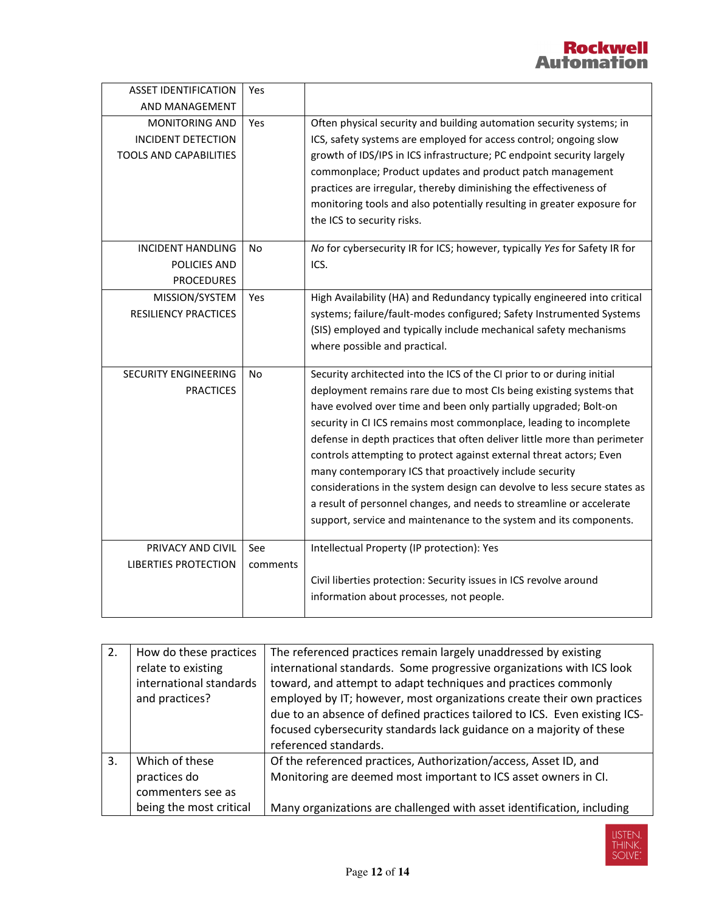| <b>ASSET IDENTIFICATION</b>                                                         | Yes             |                                                                                                                                                                                                                                                                                                                                                                                                                                                                                                                                                                                                                                                                                                                                 |
|-------------------------------------------------------------------------------------|-----------------|---------------------------------------------------------------------------------------------------------------------------------------------------------------------------------------------------------------------------------------------------------------------------------------------------------------------------------------------------------------------------------------------------------------------------------------------------------------------------------------------------------------------------------------------------------------------------------------------------------------------------------------------------------------------------------------------------------------------------------|
| AND MANAGEMENT                                                                      |                 |                                                                                                                                                                                                                                                                                                                                                                                                                                                                                                                                                                                                                                                                                                                                 |
| <b>MONITORING AND</b><br><b>INCIDENT DETECTION</b><br><b>TOOLS AND CAPABILITIES</b> | Yes             | Often physical security and building automation security systems; in<br>ICS, safety systems are employed for access control; ongoing slow<br>growth of IDS/IPS in ICS infrastructure; PC endpoint security largely<br>commonplace; Product updates and product patch management<br>practices are irregular, thereby diminishing the effectiveness of<br>monitoring tools and also potentially resulting in greater exposure for<br>the ICS to security risks.                                                                                                                                                                                                                                                                   |
| <b>INCIDENT HANDLING</b><br>POLICIES AND<br><b>PROCEDURES</b>                       | No              | No for cybersecurity IR for ICS; however, typically Yes for Safety IR for<br>ICS.                                                                                                                                                                                                                                                                                                                                                                                                                                                                                                                                                                                                                                               |
| MISSION/SYSTEM<br><b>RESILIENCY PRACTICES</b>                                       | Yes             | High Availability (HA) and Redundancy typically engineered into critical<br>systems; failure/fault-modes configured; Safety Instrumented Systems<br>(SIS) employed and typically include mechanical safety mechanisms<br>where possible and practical.                                                                                                                                                                                                                                                                                                                                                                                                                                                                          |
| <b>SECURITY ENGINEERING</b><br><b>PRACTICES</b>                                     | <b>No</b>       | Security architected into the ICS of the CI prior to or during initial<br>deployment remains rare due to most CIs being existing systems that<br>have evolved over time and been only partially upgraded; Bolt-on<br>security in CI ICS remains most commonplace, leading to incomplete<br>defense in depth practices that often deliver little more than perimeter<br>controls attempting to protect against external threat actors; Even<br>many contemporary ICS that proactively include security<br>considerations in the system design can devolve to less secure states as<br>a result of personnel changes, and needs to streamline or accelerate<br>support, service and maintenance to the system and its components. |
| PRIVACY AND CIVIL<br><b>LIBERTIES PROTECTION</b>                                    | See<br>comments | Intellectual Property (IP protection): Yes<br>Civil liberties protection: Security issues in ICS revolve around<br>information about processes, not people.                                                                                                                                                                                                                                                                                                                                                                                                                                                                                                                                                                     |

| 2. | How do these practices<br>relate to existing<br>international standards<br>and practices? | The referenced practices remain largely unaddressed by existing<br>international standards. Some progressive organizations with ICS look<br>toward, and attempt to adapt techniques and practices commonly<br>employed by IT; however, most organizations create their own practices<br>due to an absence of defined practices tailored to ICS. Even existing ICS-<br>focused cybersecurity standards lack guidance on a majority of these<br>referenced standards. |
|----|-------------------------------------------------------------------------------------------|---------------------------------------------------------------------------------------------------------------------------------------------------------------------------------------------------------------------------------------------------------------------------------------------------------------------------------------------------------------------------------------------------------------------------------------------------------------------|
| 3. | Which of these<br>practices do<br>commenters see as<br>being the most critical            | Of the referenced practices, Authorization/access, Asset ID, and<br>Monitoring are deemed most important to ICS asset owners in CI.<br>Many organizations are challenged with asset identification, including                                                                                                                                                                                                                                                       |

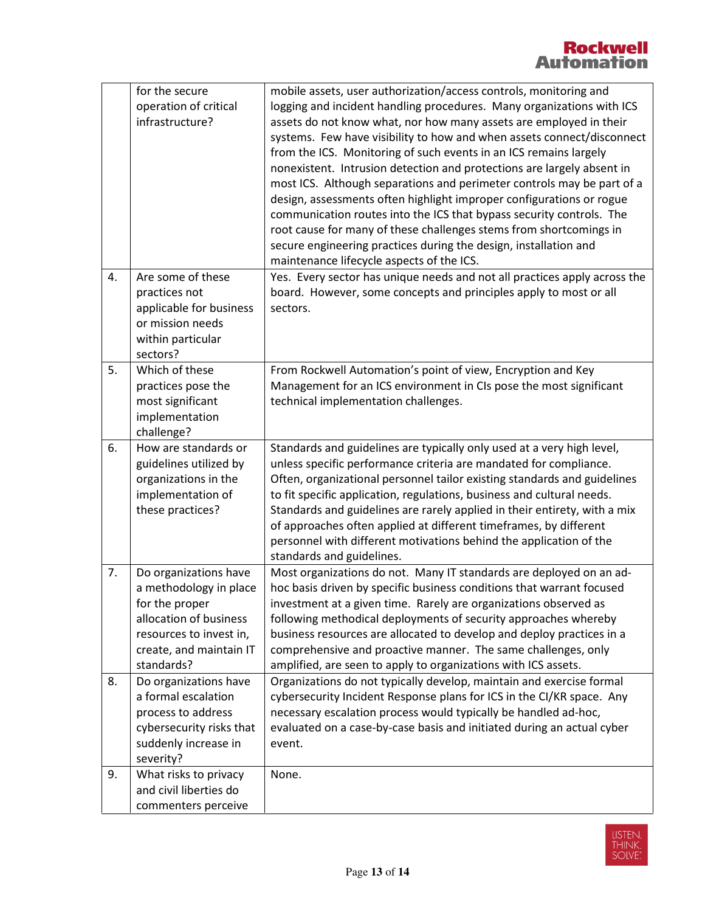|    | for the secure<br>operation of critical<br>infrastructure?                                                                                                      | mobile assets, user authorization/access controls, monitoring and<br>logging and incident handling procedures. Many organizations with ICS<br>assets do not know what, nor how many assets are employed in their<br>systems. Few have visibility to how and when assets connect/disconnect<br>from the ICS. Monitoring of such events in an ICS remains largely<br>nonexistent. Intrusion detection and protections are largely absent in<br>most ICS. Although separations and perimeter controls may be part of a<br>design, assessments often highlight improper configurations or rogue<br>communication routes into the ICS that bypass security controls. The<br>root cause for many of these challenges stems from shortcomings in |
|----|-----------------------------------------------------------------------------------------------------------------------------------------------------------------|-------------------------------------------------------------------------------------------------------------------------------------------------------------------------------------------------------------------------------------------------------------------------------------------------------------------------------------------------------------------------------------------------------------------------------------------------------------------------------------------------------------------------------------------------------------------------------------------------------------------------------------------------------------------------------------------------------------------------------------------|
|    |                                                                                                                                                                 | secure engineering practices during the design, installation and<br>maintenance lifecycle aspects of the ICS.                                                                                                                                                                                                                                                                                                                                                                                                                                                                                                                                                                                                                             |
| 4. | Are some of these<br>practices not<br>applicable for business<br>or mission needs<br>within particular<br>sectors?                                              | Yes. Every sector has unique needs and not all practices apply across the<br>board. However, some concepts and principles apply to most or all<br>sectors.                                                                                                                                                                                                                                                                                                                                                                                                                                                                                                                                                                                |
| 5. | Which of these<br>practices pose the<br>most significant<br>implementation<br>challenge?                                                                        | From Rockwell Automation's point of view, Encryption and Key<br>Management for an ICS environment in CIs pose the most significant<br>technical implementation challenges.                                                                                                                                                                                                                                                                                                                                                                                                                                                                                                                                                                |
| 6. | How are standards or<br>guidelines utilized by<br>organizations in the<br>implementation of<br>these practices?                                                 | Standards and guidelines are typically only used at a very high level,<br>unless specific performance criteria are mandated for compliance.<br>Often, organizational personnel tailor existing standards and guidelines<br>to fit specific application, regulations, business and cultural needs.<br>Standards and guidelines are rarely applied in their entirety, with a mix<br>of approaches often applied at different timeframes, by different<br>personnel with different motivations behind the application of the<br>standards and guidelines.                                                                                                                                                                                    |
| 7. | Do organizations have<br>a methodology in place<br>for the proper<br>allocation of business<br>resources to invest in,<br>create, and maintain IT<br>standards? | Most organizations do not. Many IT standards are deployed on an ad-<br>hoc basis driven by specific business conditions that warrant focused<br>investment at a given time. Rarely are organizations observed as<br>following methodical deployments of security approaches whereby<br>business resources are allocated to develop and deploy practices in a<br>comprehensive and proactive manner. The same challenges, only<br>amplified, are seen to apply to organizations with ICS assets.                                                                                                                                                                                                                                           |
| 8. | Do organizations have<br>a formal escalation<br>process to address<br>cybersecurity risks that<br>suddenly increase in<br>severity?                             | Organizations do not typically develop, maintain and exercise formal<br>cybersecurity Incident Response plans for ICS in the CI/KR space. Any<br>necessary escalation process would typically be handled ad-hoc,<br>evaluated on a case-by-case basis and initiated during an actual cyber<br>event.                                                                                                                                                                                                                                                                                                                                                                                                                                      |
| 9. | What risks to privacy<br>and civil liberties do<br>commenters perceive                                                                                          | None.                                                                                                                                                                                                                                                                                                                                                                                                                                                                                                                                                                                                                                                                                                                                     |